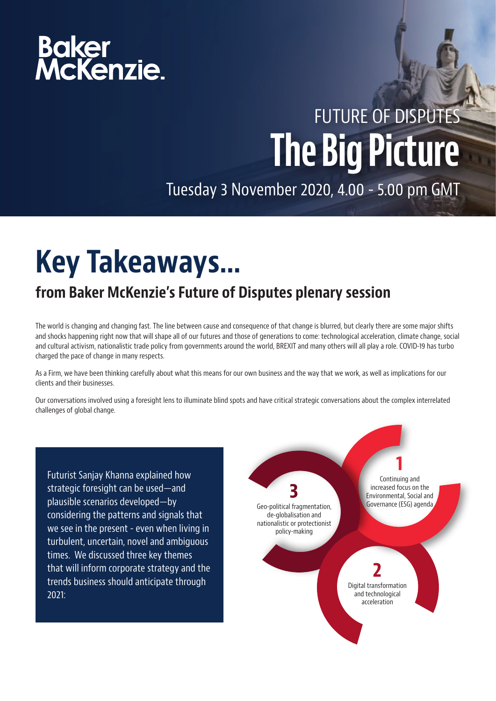# Baker<br>McKenzie.

### FUTURE OF DISPUTES The Big Picture

Tuesday 3 November 2020, 4.00 - 5.00 pm GMT

### Key Takeaways…

#### from Baker McKenzie's Future of Disputes plenary session

The world is changing and changing fast. The line between cause and consequence of that change is blurred, but clearly there are some major shifts and shocks happening right now that will shape all of our futures and those of generations to come: technological acceleration, climate change, social and cultural activism, nationalistic trade policy from governments around the world, BREXIT and many others will all play a role. COVID-19 has turbo charged the pace of change in many respects.

As a Firm, we have been thinking carefully about what this means for our own business and the way that we work, as well as implications for our clients and their businesses.

Our conversations involved using a foresight lens to illuminate blind spots and have critical strategic conversations about the complex interrelated challenges of global change.

Futurist Sanjay Khanna explained how strategic foresight can be used—and plausible scenarios developed—by considering the patterns and signals that we see in the present - even when living in turbulent, uncertain, novel and ambiguous times. We discussed three key themes that will inform corporate strategy and the trends business should anticipate through 2021:

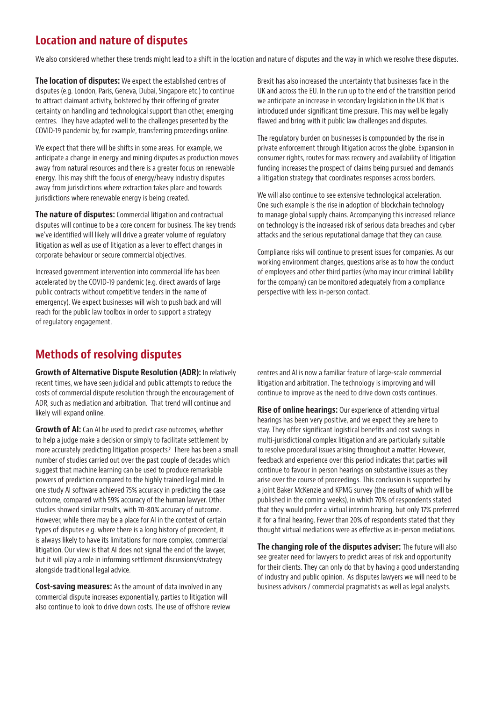#### Location and nature of disputes

We also considered whether these trends might lead to a shift in the location and nature of disputes and the way in which we resolve these disputes.

The location of disputes: We expect the established centres of disputes (e.g. London, Paris, Geneva, Dubai, Singapore etc.) to continue to attract claimant activity, bolstered by their offering of greater certainty on handling and technological support than other, emerging centres. They have adapted well to the challenges presented by the COVID-19 pandemic by, for example, transferring proceedings online.

We expect that there will be shifts in some areas. For example, we anticipate a change in energy and mining disputes as production moves away from natural resources and there is a greater focus on renewable energy. This may shift the focus of energy/heavy industry disputes away from jurisdictions where extraction takes place and towards jurisdictions where renewable energy is being created.

The nature of disputes: Commercial litigation and contractual disputes will continue to be a core concern for business. The key trends we've identified will likely will drive a greater volume of regulatory litigation as well as use of litigation as a lever to effect changes in corporate behaviour or secure commercial objectives.

Increased government intervention into commercial life has been accelerated by the COVID-19 pandemic (e.g. direct awards of large public contracts without competitive tenders in the name of emergency). We expect businesses will wish to push back and will reach for the public law toolbox in order to support a strategy of regulatory engagement.

#### Methods of resolving disputes

Growth of Alternative Dispute Resolution (ADR): In relatively recent times, we have seen judicial and public attempts to reduce the costs of commercial dispute resolution through the encouragement of ADR, such as mediation and arbitration. That trend will continue and likely will expand online.

**Growth of AI:** Can AI be used to predict case outcomes, whether to help a judge make a decision or simply to facilitate settlement by more accurately predicting litigation prospects? There has been a small number of studies carried out over the past couple of decades which suggest that machine learning can be used to produce remarkable powers of prediction compared to the highly trained legal mind. In one study AI software achieved 75% accuracy in predicting the case outcome, compared with 59% accuracy of the human lawyer. Other studies showed similar results, with 70-80% accuracy of outcome. However, while there may be a place for AI in the context of certain types of disputes e.g. where there is a long history of precedent, it is always likely to have its limitations for more complex, commercial litigation. Our view is that AI does not signal the end of the lawyer, but it will play a role in informing settlement discussions/strategy alongside traditional legal advice.

Cost-saving measures: As the amount of data involved in any commercial dispute increases exponentially, parties to litigation will also continue to look to drive down costs. The use of offshore review

Brexit has also increased the uncertainty that businesses face in the UK and across the EU. In the run up to the end of the transition period we anticipate an increase in secondary legislation in the UK that is introduced under significant time pressure. This may well be legally flawed and bring with it public law challenges and disputes.

The regulatory burden on businesses is compounded by the rise in private enforcement through litigation across the globe. Expansion in consumer rights, routes for mass recovery and availability of litigation funding increases the prospect of claims being pursued and demands a litigation strategy that coordinates responses across borders.

We will also continue to see extensive technological acceleration. One such example is the rise in adoption of blockchain technology to manage global supply chains. Accompanying this increased reliance on technology is the increased risk of serious data breaches and cyber attacks and the serious reputational damage that they can cause.

Compliance risks will continue to present issues for companies. As our working environment changes, questions arise as to how the conduct of employees and other third parties (who may incur criminal liability for the company) can be monitored adequately from a compliance perspective with less in-person contact.

centres and AI is now a familiar feature of large-scale commercial litigation and arbitration. The technology is improving and will continue to improve as the need to drive down costs continues.

**Rise of online hearings:** Our experience of attending virtual hearings has been very positive, and we expect they are here to stay. They offer significant logistical benefits and cost savings in multi-jurisdictional complex litigation and are particularly suitable to resolve procedural issues arising throughout a matter. However, feedback and experience over this period indicates that parties will continue to favour in person hearings on substantive issues as they arise over the course of proceedings. This conclusion is supported by a joint Baker McKenzie and KPMG survey (the results of which will be published in the coming weeks), in which 70% of respondents stated that they would prefer a virtual interim hearing, but only 17% preferred it for a final hearing. Fewer than 20% of respondents stated that they thought virtual mediations were as effective as in-person mediations.

The changing role of the disputes adviser: The future will also see greater need for lawyers to predict areas of risk and opportunity for their clients. They can only do that by having a good understanding of industry and public opinion. As disputes lawyers we will need to be business advisors / commercial pragmatists as well as legal analysts.